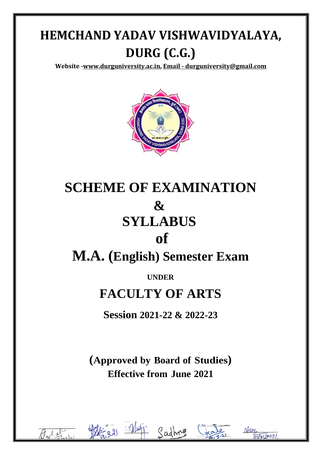**Website [-www.durguniversity.ac.in,](http://www.durguniversity.ac.in/) Email - [durguniversity@gmail.com](mailto:Email%20-%20durguniversity@gmail.com)**



# **SCHEME OF EXAMINATION & SYLLABUS of**

# **M.A. (English) Semester Exam**

# **UNDER**

# **FACULTY OF ARTS**

**Session 2021-22 & 2022-23**

**(Approved by Board of Studies) Effective from June 2021**

l



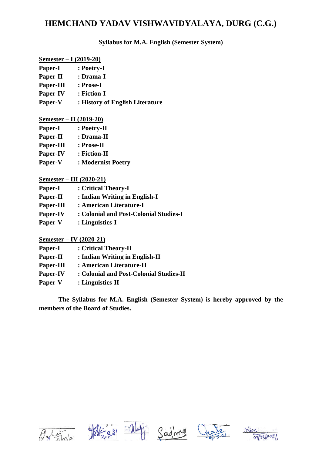**Syllabus for M.A. English (Semester System)** 

| Semester – I $(2019-20)$ |                                 |
|--------------------------|---------------------------------|
| Paper-I                  | : Poetry-I                      |
| Paper-II                 | : Drama-I                       |
| Paper-III                | : Prose-I                       |
| Paper-IV                 | : Fiction-I                     |
| Paper-V                  | : History of English Literature |

| <u>Semester – II (2019-20)</u> |                    |
|--------------------------------|--------------------|
| Paper-I                        | : Poetry-II        |
| Paper-II                       | : Drama-II         |
| Paper-III                      | : Prose-II         |
| Paper-IV                       | : Fiction-II       |
| Paper-V                        | : Modernist Poetry |

|--|

| Paper-I   | : Critical Theory-I                    |
|-----------|----------------------------------------|
| Paper-II  | : Indian Writing in English-I          |
| Paper-III | : American Literature-I                |
| Paper-IV  | : Colonial and Post-Colonial Studies-I |
| Paper-V   | : Linguistics-I                        |

**Semester – IV (2020-21)**

| <b>Paper-I</b> | : Critical Theory-II                    |
|----------------|-----------------------------------------|
| Paper-II       | : Indian Writing in English-II          |
| Paper-III      | : American Literature-II                |
| Paper-IV       | : Colonial and Post-Colonial Studies-II |
| Paper-V        | $:$ Linguistics-II                      |

**The Syllabus for M.A. English (Semester System) is hereby approved by the members of the Board of Studies.**









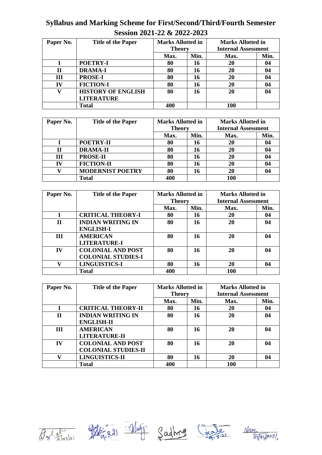# **Syllabus and Marking Scheme for First/Second/Third/Fourth Semester Session 2021-22 & 2022-2023**

| Paper No. | <b>Title of the Paper</b> | <b>Marks Allotted in</b><br><b>Theory</b> |      | <b>Marks Allotted in</b><br><b>Internal Assessment</b> |      |
|-----------|---------------------------|-------------------------------------------|------|--------------------------------------------------------|------|
|           |                           | Max.                                      | Min. | Max.                                                   | Min. |
|           | POETRY-I                  | 80                                        | 16   | 20                                                     | 04   |
| Н         | <b>DRAMA-I</b>            | 80                                        | 16   | 20                                                     | 04   |
| Ш         | <b>PROSE-I</b>            | 80                                        | 16   | 20                                                     | 04   |
| IV        | <b>FICTION-I</b>          | 80                                        | 16   | 20                                                     | 04   |
|           | <b>HISTORY OF ENGLISH</b> | 80                                        | 16   | 20                                                     | 04   |
|           | <b>LITERATURE</b>         |                                           |      |                                                        |      |
|           | Total                     | 400                                       |      | 100                                                    |      |

| Paper No. | <b>Title of the Paper</b> | <b>Marks Allotted in</b> |      | <b>Marks Allotted in</b>   |      |
|-----------|---------------------------|--------------------------|------|----------------------------|------|
|           |                           | <b>Theory</b>            |      | <b>Internal Assessment</b> |      |
|           |                           | Max.                     | Min. | Max.                       | Min. |
|           | POETRY-II                 | 80                       | 16   | 20                         | 04   |
| Н         | <b>DRAMA-II</b>           | 80                       | 16   | 20                         | 04   |
| III       | <b>PROSE-II</b>           | 80                       | 16   | 20                         | 04   |
| TV        | <b>FICTION-II</b>         | 80                       | 16   | 20                         | 04   |
|           | <b>MODERNIST POETRY</b>   | 80                       | 16   | 20                         | 04   |
|           | Total                     | 400                      |      | 100                        |      |

| Paper No.    | <b>Title of the Paper</b> | <b>Marks Allotted in</b> |      | <b>Marks Allotted in</b>   |      |
|--------------|---------------------------|--------------------------|------|----------------------------|------|
|              |                           | <b>Theory</b>            |      | <b>Internal Assessment</b> |      |
|              |                           | Max.                     | Min. | Max.                       | Min. |
|              | <b>CRITICAL THEORY-I</b>  | 80                       | 16   | 20                         | 04   |
| $\mathbf{H}$ | <b>INDIAN WRITING IN</b>  | 80                       | 16   | 20                         | 04   |
|              | <b>ENGLISH-I</b>          |                          |      |                            |      |
| Ш            | <b>AMERICAN</b>           | 80                       | 16   | 20                         | 04   |
|              | <b>LITERATURE-I</b>       |                          |      |                            |      |
| IV           | <b>COLONIAL AND POST</b>  | 80                       | 16   | 20                         | 04   |
|              | <b>COLONIAL STUDIES-I</b> |                          |      |                            |      |
| V            | <b>LINGUISTICS-I</b>      | 80                       | 16   | 20                         | 04   |
|              | Total                     | 400                      |      | 100                        |      |

| Paper No.    | <b>Title of the Paper</b>  | <b>Marks Allotted in</b><br><b>Theory</b> |      | <b>Marks Allotted in</b><br><b>Internal Assessment</b> |      |
|--------------|----------------------------|-------------------------------------------|------|--------------------------------------------------------|------|
|              |                            | Max.                                      | Min. | Max.                                                   | Min. |
|              | <b>CRITICAL THEORY-II</b>  | 80                                        | 16   | 20                                                     | 04   |
| $\mathbf{H}$ | <b>INDIAN WRITING IN</b>   | 80                                        | 16   | 20                                                     | 04   |
|              | <b>ENGLISH-II</b>          |                                           |      |                                                        |      |
| Ш            | <b>AMERICAN</b>            | 80                                        | 16   | 20                                                     | 04   |
|              | <b>LITERATURE-II</b>       |                                           |      |                                                        |      |
| IV           | <b>COLONIAL AND POST</b>   | 80                                        | 16   | 20                                                     | 04   |
|              | <b>COLONIAL STUDIES-II</b> |                                           |      |                                                        |      |
| V            | <b>LINGUISTICS-II</b>      | 80                                        | 16   | 20                                                     | 04   |
|              | Total                      | 400                                       |      | 100                                                    |      |









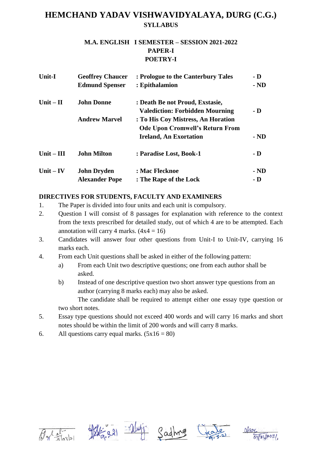### **M.A. ENGLISH I SEMESTER – SESSION 2021-2022 PAPER-I POETRY-I**

| <b>Unit-I</b> | <b>Geoffrey Chaucer</b> | : Prologue to the Canterbury Tales     | - D                     |
|---------------|-------------------------|----------------------------------------|-------------------------|
|               | <b>Edmund Spenser</b>   | : Epithalamion                         | $-ND$                   |
| Unit $-$ II   | <b>John Donne</b>       | : Death Be not Proud, Exstasie,        |                         |
|               |                         | <b>Valediction: Forbidden Mourning</b> | $\mathbf{-} \mathbf{D}$ |
|               | <b>Andrew Marvel</b>    | : To His Coy Mistress, An Horation     |                         |
|               |                         | <b>Ode Upon Cromwell's Return From</b> |                         |
|               |                         | <b>Ireland, An Exortation</b>          | $-ND$                   |
| Unit $-$ III  | <b>John Milton</b>      | : Paradise Lost, Book-1                | $\mathbf{-} \mathbf{D}$ |
| Unit $-$ IV   | <b>John Dryden</b>      | : Mac Flecknoe                         | $-ND$                   |
|               | <b>Alexander Pope</b>   | : The Rape of the Lock                 | - D                     |

### **DIRECTIVES FOR STUDENTS, FACULTY AND EXAMINERS**

- 1. The Paper is divided into four units and each unit is compulsory.
- 2. Question I will consist of 8 passages for explanation with reference to the context from the texts prescribed for detailed study, out of which 4 are to be attempted. Each annotation will carry 4 marks.  $(4x4 = 16)$
- 3. Candidates will answer four other questions from Unit-I to Unit-IV, carrying 16 marks each.
- 4. From each Unit questions shall be asked in either of the following pattern:
	- a) From each Unit two descriptive questions; one from each author shall be asked.
	- b) Instead of one descriptive question two short answer type questions from an author (carrying 8 marks each) may also be asked.

The candidate shall be required to attempt either one essay type question or two short notes.

- 5. Essay type questions should not exceed 400 words and will carry 16 marks and short notes should be within the limit of 200 words and will carry 8 marks.
- 6. All questions carry equal marks.  $(5x16 = 80)$









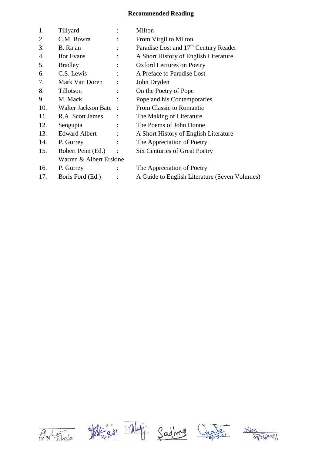| 1.  | Tillyard                | $\ddot{\cdot}$ | Milton                                            |
|-----|-------------------------|----------------|---------------------------------------------------|
| 2.  | C.M. Bowra              |                | From Virgil to Milton                             |
| 3.  | B. Rajan                |                | Paradise Lost and 17 <sup>th</sup> Century Reader |
| 4.  | <b>Ifor Evans</b>       |                | A Short History of English Literature             |
| 5.  | <b>Bradley</b>          |                | <b>Oxford Lectures on Poetry</b>                  |
| 6.  | C.S. Lewis              |                | A Preface to Paradise Lost                        |
| 7.  | Mark Van Doren          |                | John Dryden                                       |
| 8.  | Tillotson               |                | On the Poetry of Pope                             |
| 9.  | M. Mack                 |                | Pope and his Contemporaries                       |
| 10. | Walter Jackson Bate     |                | From Classic to Romantic                          |
| 11. | R.A. Scott James        |                | The Making of Literature                          |
| 12. | Sengupta                | $\ddot{\cdot}$ | The Poems of John Donne                           |
| 13. | <b>Edward Albert</b>    |                | A Short History of English Literature             |
| 14. | P. Gurrey               |                | The Appreciation of Poetry                        |
| 15. | Robert Penn (Ed.)       |                | <b>Six Centuries of Great Poetry</b>              |
|     | Warren & Albert Erskine |                |                                                   |
| 16. | P. Gurrey               |                | The Appreciation of Poetry                        |
| 17. | Boris Ford (Ed.)        |                | A Guide to English Literature (Seven Volumes)     |









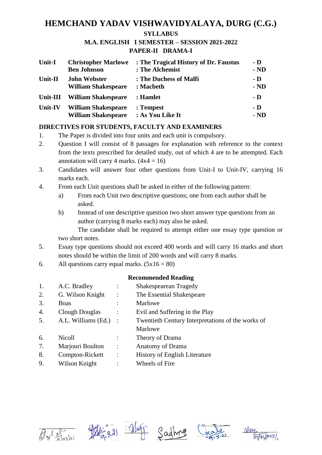#### **M.A. ENGLISH I SEMESTER – SESSION 2021-2022 PAPER-II DRAMA-I**

| Unit-I         | <b>Christopher Marlowe</b> | : The Tragical History of Dr. Faustus | - D                     |
|----------------|----------------------------|---------------------------------------|-------------------------|
|                | <b>Ben Johnson</b>         | : The Alchemist                       | $-ND$                   |
| Unit-II        | <b>John Webster</b>        | : The Duchess of Malfi                | - D                     |
|                | <b>William Shakespeare</b> | : Macbeth                             | $-ND$                   |
| Unit-III       | <b>William Shakespeare</b> | : Hamlet                              | $\overline{\mathbf{D}}$ |
| <b>Unit-IV</b> | <b>William Shakespeare</b> | : Tempest                             | - D                     |
|                | <b>William Shakespeare</b> | : As You Like It                      | $-ND$                   |

## **DIRECTIVES FOR STUDENTS, FACULTY AND EXAMINERS**

- 1. The Paper is divided into four units and each unit is compulsory.
- 2. Question I will consist of 8 passages for explanation with reference to the context from the texts prescribed for detailed study, out of which 4 are to be attempted. Each annotation will carry 4 marks.  $(4x4 = 16)$
- 3. Candidates will answer four other questions from Unit-I to Unit-IV, carrying 16 marks each.
- 4. From each Unit questions shall be asked in either of the following pattern:
	- a) From each Unit two descriptive questions; one from each author shall be asked.
	- b) Instead of one descriptive question two short answer type questions from an author (carrying 8 marks each) may also be asked.

The candidate shall be required to attempt either one essay type question or two short notes.

- 5. Essay type questions should not exceed 400 words and will carry 16 marks and short notes should be within the limit of 200 words and will carry 8 marks.
- 6. All questions carry equal marks.  $(5x16 = 80)$

| 1. | A.C. Bradley        |                        | <b>Shakespearean Tragedy</b>                      |
|----|---------------------|------------------------|---------------------------------------------------|
| 2. | G. Wilson Knight    |                        | The Essential Shakespeare                         |
| 3. | Boas                |                        | Marlowe                                           |
| 4. | Clough Douglas      |                        | Evil and Suffering in the Play                    |
| 5. | A.L. Williams (Ed.) | $\ddot{\phantom{1}}$ : | Twentieth Century Interpretations of the works of |
|    |                     |                        | Marlowe                                           |
| 6. | Nicoll              |                        | Theory of Drama                                   |
| 7. | Marjouri Boulton    | $\ddot{\phantom{a}}$   | <b>Anatomy of Drama</b>                           |
| 8. | Compton-Rickett     | $\ddot{\cdot}$         | <b>History of English Literature</b>              |
| 9. | Wilson Knight       |                        | Wheels of Fire                                    |









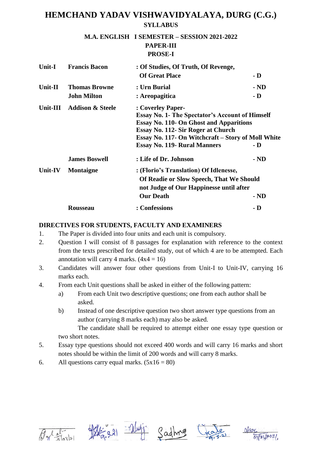### **M.A. ENGLISH I SEMESTER – SESSION 2021-2022 PAPER-III PROSE-I**

| Unit-I   | <b>Francis Bacon</b>        | : Of Studies, Of Truth, Of Revenge,                    |                         |
|----------|-----------------------------|--------------------------------------------------------|-------------------------|
|          |                             | <b>Of Great Place</b>                                  | - D                     |
| Unit-II  | <b>Thomas Browne</b>        | : Urn Burial                                           | $-ND$                   |
|          | <b>John Milton</b>          | : Areopagitica                                         | $\mathbf{-} \mathbf{D}$ |
| Unit-III | <b>Addison &amp; Steele</b> | : Coverley Paper-                                      |                         |
|          |                             | <b>Essay No. 1- The Spectator's Account of Himself</b> |                         |
|          |                             | <b>Essay No. 110- On Ghost and Apparitions</b>         |                         |
|          |                             | Essay No. 112- Sir Roger at Church                     |                         |
|          |                             | Essay No. 117- On Witchcraft – Story of Moll White     |                         |
|          |                             | <b>Essay No. 119- Rural Manners</b>                    | - D                     |
|          | <b>James Boswell</b>        | : Life of Dr. Johnson                                  | $-ND$                   |
| Unit-IV  | <b>Montaigne</b>            | : (Florio's Translation) Of Idlenesse,                 |                         |
|          |                             | Of Readie or Slow Speech, That We Should               |                         |
|          |                             | not Judge of Our Happinesse until after                |                         |
|          |                             | <b>Our Death</b>                                       | $-ND$                   |
|          | <b>Rousseau</b>             | : Confessions                                          | - D                     |

### **DIRECTIVES FOR STUDENTS, FACULTY AND EXAMINERS**

- 1. The Paper is divided into four units and each unit is compulsory.
- 2. Question I will consist of 8 passages for explanation with reference to the context from the texts prescribed for detailed study, out of which 4 are to be attempted. Each annotation will carry 4 marks.  $(4x4 = 16)$
- 3. Candidates will answer four other questions from Unit-I to Unit-IV, carrying 16 marks each.
- 4. From each Unit questions shall be asked in either of the following pattern:
	- a) From each Unit two descriptive questions; one from each author shall be asked.
	- b) Instead of one descriptive question two short answer type questions from an author (carrying 8 marks each) may also be asked.

The candidate shall be required to attempt either one essay type question or two short notes.

- 5. Essay type questions should not exceed 400 words and will carry 16 marks and short notes should be within the limit of 200 words and will carry 8 marks.
- 6. All questions carry equal marks.  $(5x16 = 80)$









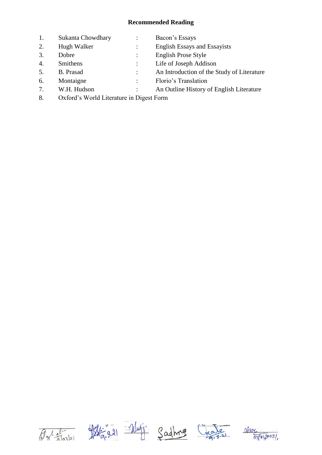| 1.       | Sukanta Chowdhary                                                                 | Bacon's Essays                             |
|----------|-----------------------------------------------------------------------------------|--------------------------------------------|
| 2.       | Hugh Walker                                                                       | <b>English Essays and Essayists</b>        |
| 3.       | Dobre                                                                             | <b>English Prose Style</b>                 |
| 4.       | Smithens                                                                          | Life of Joseph Addison                     |
| 5.       | B. Prasad                                                                         | An Introduction of the Study of Literature |
| 6.       | Montaigne                                                                         | Florio's Translation                       |
| 7.       | W.H. Hudson                                                                       | An Outline History of English Literature   |
| $\Omega$ | $O-P_{n+1}$ $W_{n+1}$ $11$ $V_{n+1}$ $11$ $V_{n+1}$ $V_{n+1}$ $V_{n+1}$ $V_{n+1}$ |                                            |

8. Oxford's World Literature in Digest Form









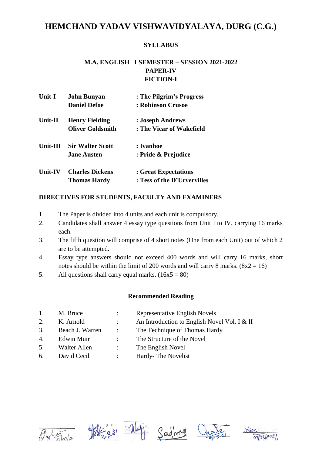### **SYLLABUS**

## **M.A. ENGLISH I SEMESTER – SESSION 2021-2022 PAPER-IV FICTION-I**

| <b>Unit-I</b>  | <b>John Bunyan</b>      | : The Pilgrim's Progress    |
|----------------|-------------------------|-----------------------------|
|                | <b>Daniel Defoe</b>     | : Robinson Crusoe           |
| Unit-II        | <b>Henry Fielding</b>   | : Joseph Andrews            |
|                | <b>Oliver Goldsmith</b> | : The Vicar of Wakefield    |
| Unit-III       | <b>Sir Walter Scott</b> | : Ivanhoe                   |
|                | <b>Jane Austen</b>      | : Pride & Prejudice         |
| <b>Unit-IV</b> | <b>Charles Dickens</b>  | : Great Expectations        |
|                | <b>Thomas Hardy</b>     | : Tess of the D'Urvervilles |

### **DIRECTIVES FOR STUDENTS, FACULTY AND EXAMINERS**

- 1. The Paper is divided into 4 units and each unit is compulsory.
- 2. Candidates shall answer 4 essay type questions from Unit I to IV, carrying 16 marks each.
- 3. The fifth question will comprise of 4 short notes (One from each Unit) out of which 2 are to be attempted.
- 4. Essay type answers should not exceed 400 words and will carry 16 marks, short notes should be within the limit of 200 words and will carry 8 marks.  $(8x2 = 16)$
- 5. All questions shall carry equal marks.  $(16x5 = 80)$

### **Recommended Reading**

| 1. | M. Bruce        |                                 | Representative English Novels                |
|----|-----------------|---------------------------------|----------------------------------------------|
| 2. | K. Arnold       |                                 | An Introduction to English Novel Vol. I & II |
| 3. | Beach J. Warren | $\mathcal{L}$ and $\mathcal{L}$ | The Technique of Thomas Hardy                |
| 4. | Edwin Muir      | $\mathcal{L}$                   | The Structure of the Novel                   |
| 5. | Walter Allen    | $\mathcal{L}$                   | The English Novel                            |
|    |                 |                                 |                                              |

6. David Cecil : Hardy- The Novelist









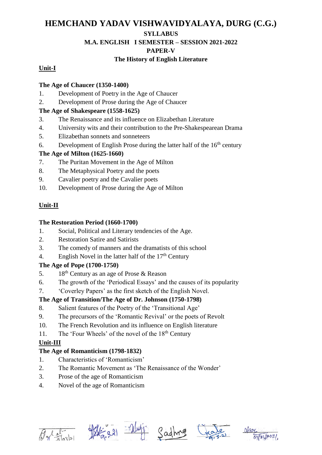### **SYLLABUS**

### **M.A. ENGLISH I SEMESTER – SESSION 2021-2022**

### **PAPER-V**

# **The History of English Literature**

## **Unit-I**

### **The Age of Chaucer (1350-1400)**

- 1. Development of Poetry in the Age of Chaucer
- 2. Development of Prose during the Age of Chaucer

## **The Age of Shakespeare (1558-1625)**

- 3. The Renaissance and its influence on Elizabethan Literature
- 4. University wits and their contribution to the Pre-Shakespearean Drama
- 5. Elizabethan sonnets and sonneteers
- 6. Development of English Prose during the latter half of the  $16<sup>th</sup>$  century

# **The Age of Milton (1625-1660)**

- 7. The Puritan Movement in the Age of Milton
- 8. The Metaphysical Poetry and the poets
- 9. Cavalier poetry and the Cavalier poets
- 10. Development of Prose during the Age of Milton

# **Unit-II**

## **The Restoration Period (1660-1700)**

- 1. Social, Political and Literary tendencies of the Age.
- 2. Restoration Satire and Satirists
- 3. The comedy of manners and the dramatists of this school
- 4. English Novel in the latter half of the  $17<sup>th</sup>$  Century

# **The Age of Pope (1700-1750)**

- 5. 18<sup>th</sup> Century as an age of Prose & Reason
- 6. The growth of the 'Periodical Essays' and the causes of its popularity
- 7. 'Coverley Papers' as the first sketch of the English Novel.

# **The Age of Transition/The Age of Dr. Johnson (1750-1798)**

- 8. Salient features of the Poetry of the 'Transitional Age'
- 9. The precursors of the 'Romantic Revival' or the poets of Revolt
- 10. The French Revolution and its influence on English literature
- 11. The 'Four Wheels' of the novel of the  $18<sup>th</sup>$  Century

# **Unit-III**

# **The Age of Romanticism (1798-1832)**

- 1. Characteristics of 'Romanticism'
- 2. The Romantic Movement as 'The Renaissance of the Wonder'
- 3. Prose of the age of Romanticism
- 4. Novel of the age of Romanticism



 $\frac{1}{2^{2}}$   $\frac{1}{2^{2}}$   $\frac{1}{2^{2}}$   $\frac{1}{2^{2}}$ 





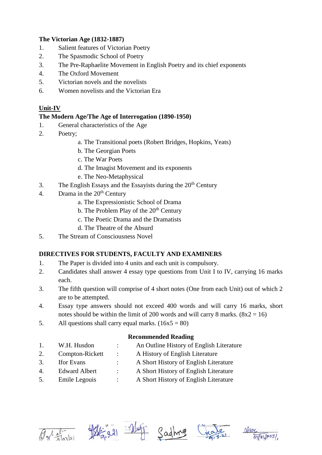### **The Victorian Age (1832-1887)**

- 1. Salient features of Victorian Poetry
- 2. The Spasmodic School of Poetry
- 3. The Pre-Raphaelite Movement in English Poetry and its chief exponents
- 4. The Oxford Movement
- 5. Victorian novels and the novelists
- 6. Women novelists and the Victorian Era

### **Unit-IV**

### **The Modern Age/The Age of Interrogation (1890-1950)**

- 1. General characteristics of the Age
- 2. Poetry;
	- a. The Transitional poets (Robert Bridges, Hopkins, Yeats)
	- b. The Georgian Poets
	- c. The War Poets
	- d. The Imagist Movement and its exponents
	- e. The Neo-Metaphysical
- 3. The English Essays and the Essayists during the  $20<sup>th</sup>$  Century
- 4. Drama in the  $20<sup>th</sup>$  Century
	- a. The Expressionistic School of Drama
	- b. The Problem Play of the  $20<sup>th</sup>$  Century
	- c. The Poetic Drama and the Dramatists
	- d. The Theatre of the Absurd
- 5. The Stream of Consciousness Novel

### **DIRECTIVES FOR STUDENTS, FACULTY AND EXAMINERS**

- 1. The Paper is divided into 4 units and each unit is compulsory.
- 2. Candidates shall answer 4 essay type questions from Unit I to IV, carrying 16 marks each.
- 3. The fifth question will comprise of 4 short notes (One from each Unit) out of which 2 are to be attempted.
- 4. Essay type answers should not exceed 400 words and will carry 16 marks, short notes should be within the limit of 200 words and will carry 8 marks.  $(8x2 = 16)$
- 5. All questions shall carry equal marks.  $(16x5 = 80)$

### **Recommended Reading**

| 1. | W.H. Husdon          |                | An Outline History of English Literature |
|----|----------------------|----------------|------------------------------------------|
| 2. | Compton-Rickett      | $\mathbb{R}^n$ | A History of English Literature          |
| 3. | <b>Ifor Evans</b>    |                | A Short History of English Literature    |
| 4. | <b>Edward Albert</b> |                | A Short History of English Literature    |

5. Emile Legouis : A Short History of English Literature









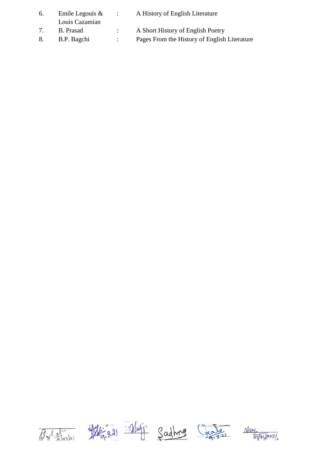| 6. | Emile Legouis $\&$<br>Louis Cazamian | <b>Contract Contract</b> | A History of English Literature              |
|----|--------------------------------------|--------------------------|----------------------------------------------|
|    | B. Prasad                            |                          | A Short History of English Poetry            |
|    | B.P. Bagchi                          |                          | Pages From the History of English Literature |









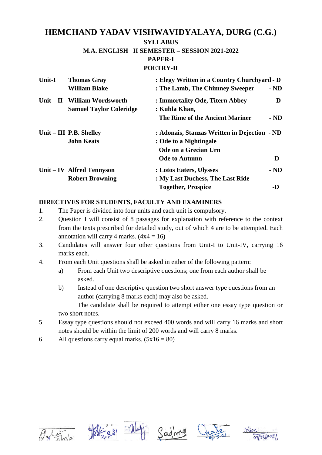#### **SYLLABUS**

#### **M.A. ENGLISH II SEMESTER – SESSION 2021-2022**

#### **PAPER-I**

#### **POETRY-II**

| Unit-I | <b>Thomas Gray</b><br><b>William Blake</b>                     | : Elegy Written in a Country Churchyard - D<br>: The Lamb, The Chimney Sweeper | $-ND$ |
|--------|----------------------------------------------------------------|--------------------------------------------------------------------------------|-------|
|        | Unit – II William Wordsworth<br><b>Samuel Taylor Coleridge</b> | : Immortality Ode, Titern Abbey<br>: Kubla Khan,                               | $-D$  |
|        |                                                                | The Rime of the Ancient Mariner                                                | $-ND$ |
|        | Unit – III P.B. Shelley                                        | : Adonais, Stanzas Written in Dejection - ND                                   |       |
|        | <b>John Keats</b>                                              | : Ode to a Nightingale                                                         |       |
|        |                                                                | Ode on a Grecian Urn                                                           |       |
|        |                                                                | <b>Ode to Autumn</b>                                                           | -D    |
|        | Unit – IV Alfred Tennyson                                      | : Lotos Eaters, Ulysses                                                        | $-ND$ |
|        | <b>Robert Browning</b>                                         | : My Last Duchess, The Last Ride                                               |       |
|        |                                                                | <b>Together, Prospice</b>                                                      | -D    |

### **DIRECTIVES FOR STUDENTS, FACULTY AND EXAMINERS**

- 1. The Paper is divided into four units and each unit is compulsory.
- 2. Question I will consist of 8 passages for explanation with reference to the context from the texts prescribed for detailed study, out of which 4 are to be attempted. Each annotation will carry 4 marks.  $(4x4 = 16)$
- 3. Candidates will answer four other questions from Unit-I to Unit-IV, carrying 16 marks each.
- 4. From each Unit questions shall be asked in either of the following pattern:
	- a) From each Unit two descriptive questions; one from each author shall be asked.
	- b) Instead of one descriptive question two short answer type questions from an author (carrying 8 marks each) may also be asked. The candidate shall be required to attempt either one essay type question or

two short notes.

- 5. Essay type questions should not exceed 400 words and will carry 16 marks and short notes should be within the limit of 200 words and will carry 8 marks.
- 6. All questions carry equal marks.  $(5x16 = 80)$









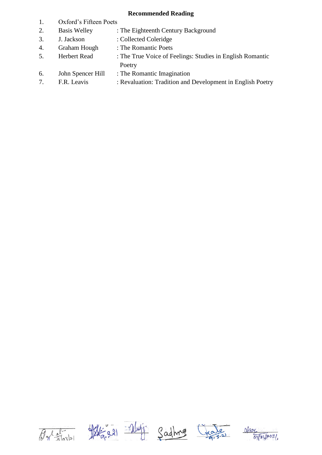- 1. Oxford's Fifteen Poets
- 2. Basis Welley : The Eighteenth Century Background
- 3. J. Jackson : Collected Coleridge
- 4. Graham Hough : The Romantic Poets
- 5. Herbert Read : The True Voice of Feelings: Studies in English Romantic Poetry
- 6. John Spencer Hill : The Romantic Imagination
- 7. F.R. Leavis : Revaluation: Tradition and Development in English Poetry









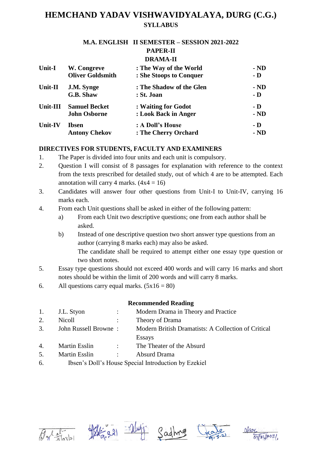# **M.A. ENGLISH II SEMESTER – SESSION 2021-2022**

#### **PAPER-II DRAMA-II**

| Unit-I   | W. Congreve             | : The Way of the World   | $-ND$          |
|----------|-------------------------|--------------------------|----------------|
|          | <b>Oliver Goldsmith</b> | : She Stoops to Conquer  | $\mathbf{-}$ D |
| Unit-II  | J.M. Synge              | : The Shadow of the Glen | $-ND$          |
|          | G.B. Shaw               | : St. Joan               | $-D$           |
| Unit-III | <b>Samuel Becket</b>    | : Waiting for Godot      | - D            |
|          | <b>John Osborne</b>     | : Look Back in Anger     | $-ND$          |
| Unit-IV  | <b>Ibsen</b>            | : A Doll's House         | - D            |
|          | <b>Antony Chekov</b>    | : The Cherry Orchard     | $-ND$          |

## **DIRECTIVES FOR STUDENTS, FACULTY AND EXAMINERS**

- 1. The Paper is divided into four units and each unit is compulsory.
- 2. Question I will consist of 8 passages for explanation with reference to the context from the texts prescribed for detailed study, out of which 4 are to be attempted. Each annotation will carry 4 marks.  $(4x4 = 16)$
- 3. Candidates will answer four other questions from Unit-I to Unit-IV, carrying 16 marks each.
- 4. From each Unit questions shall be asked in either of the following pattern:
	- a) From each Unit two descriptive questions; one from each author shall be asked.
	- b) Instead of one descriptive question two short answer type questions from an author (carrying 8 marks each) may also be asked. The candidate shall be required to attempt either one essay type question or two short notes.
- 5. Essay type questions should not exceed 400 words and will carry 16 marks and short notes should be within the limit of 200 words and will carry 8 marks.
- 6. All questions carry equal marks.  $(5x16 = 80)$

- 1. J.L. Styon : Modern Drama in Theory and Practice 2. Nicoll : Theory of Drama
- 3. John Russell Browne : Modern British Dramatists: A Collection of Critical Essays
- 4. Martin Esslin : The Theater of the Absurd
- 5. Martin Esslin : Absurd Drama
- 6. Ibsen's Doll's House Special Introduction by Ezekiel









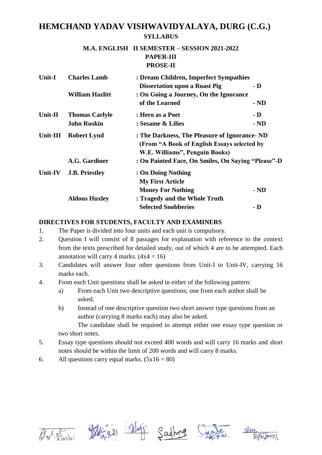### **M.A. ENGLISH II SEMESTER – SESSION 2021-2022 PAPER-III PROSE-II**

| <b>Unit-I</b> | <b>Charles Lamb</b>    | : Dream Children, Imperfect Sympathies             |                |
|---------------|------------------------|----------------------------------------------------|----------------|
|               |                        | <b>Dissertation upon a Roast Pig</b>               | $\mathbf{-}$ D |
|               | <b>William Hazlitt</b> | : On Going a Journey, On the Ignorance             |                |
|               |                        | of the Learned                                     | $-ND$          |
| Unit-II       | <b>Thomas Carlyle</b>  | : Hero as a Poet                                   | $\mathbf{-}$ D |
|               | <b>John Ruskin</b>     | : Sesame & Lilies                                  | - ND           |
| Unit-III      | <b>Robert Lynd</b>     | : The Darkness, The Pleasure of Ignorance - ND     |                |
|               |                        | (From "A Book of English Essays selected by        |                |
|               |                        | W.E. Williams", Penguin Books)                     |                |
|               | A.G. Gardiner          | : On Painted Face, On Smiles, On Saying "Please"-D |                |
| Unit-IV       | <b>J.B. Priestley</b>  | : On Doing Nothing                                 |                |
|               |                        | <b>My First Article</b>                            |                |
|               |                        | <b>Money For Nothing</b>                           | $-ND$          |
|               | <b>Aldous Huxley</b>   | : Tragedy and the Whole Truth                      |                |
|               |                        | <b>Selected Snobberies</b>                         | - D            |
|               |                        |                                                    |                |

### **DIRECTIVES FOR STUDENTS, FACULTY AND EXAMINERS**

- 1. The Paper is divided into four units and each unit is compulsory.
- 2. Question I will consist of 8 passages for explanation with reference to the context from the texts prescribed for detailed study, out of which 4 are to be attempted. Each annotation will carry 4 marks.  $(4x4 = 16)$
- 3. Candidates will answer four other questions from Unit-I to Unit-IV, carrying 16 marks each.
- 4. From each Unit questions shall be asked in either of the following pattern:
	- a) From each Unit two descriptive questions; one from each author shall be asked.
	- b) Instead of one descriptive question two short answer type questions from an author (carrying 8 marks each) may also be asked.

The candidate shall be required to attempt either one essay type question or two short notes.

- 5. Essay type questions should not exceed 400 words and will carry 16 marks and short notes should be within the limit of 200 words and will carry 8 marks.
- 6. All questions carry equal marks.  $(5x16 = 80)$









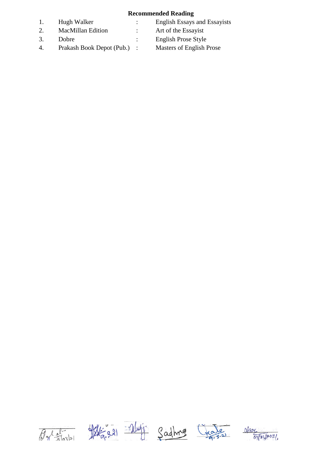- 
- 2. MacMillan Edition : Art of the Essayist
- 
- 4. Prakash Book Depot (Pub.) : Masters of English Prose
- 1. Hugh Walker : English Essays and Essayists
	-
- 3. Dobre : English Prose Style
	-









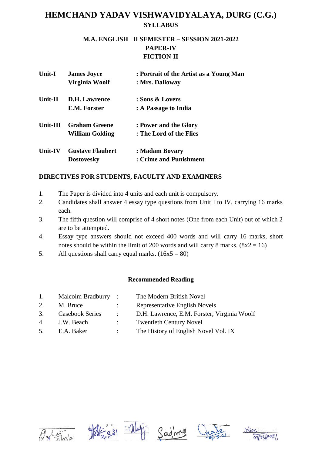### **M.A. ENGLISH II SEMESTER – SESSION 2021-2022 PAPER-IV FICTION-II**

| Unit-I         | <b>James Joyce</b>      | : Portrait of the Artist as a Young Man |
|----------------|-------------------------|-----------------------------------------|
|                | Virginia Woolf          | : Mrs. Dalloway                         |
| Unit-II        | <b>D.H.</b> Lawrence    | : Sons & Lovers                         |
|                | E.M. Forster            | : A Passage to India                    |
| Unit-III       | <b>Graham Greene</b>    | : Power and the Glory                   |
|                | William Golding         | : The Lord of the Flies                 |
| <b>Unit-IV</b> | <b>Gustave Flaubert</b> | : Madam Bovary                          |
|                | <b>Dostovesky</b>       | : Crime and Punishment                  |

## **DIRECTIVES FOR STUDENTS, FACULTY AND EXAMINERS**

- 1. The Paper is divided into 4 units and each unit is compulsory.
- 2. Candidates shall answer 4 essay type questions from Unit I to IV, carrying 16 marks each.
- 3. The fifth question will comprise of 4 short notes (One from each Unit) out of which 2 are to be attempted.
- 4. Essay type answers should not exceed 400 words and will carry 16 marks, short notes should be within the limit of 200 words and will carry 8 marks.  $(8x2 = 16)$
- 5. All questions shall carry equal marks.  $(16x5 = 80)$

| 1. | Malcolm Bradburry:     |                | The Modern British Novel                    |
|----|------------------------|----------------|---------------------------------------------|
| 2. | M. Bruce               |                | Representative English Novels               |
| 3. | <b>Casebook Series</b> | $\mathcal{L}$  | D.H. Lawrence, E.M. Forster, Virginia Woolf |
| 4. | J.W. Beach             | $\mathbb{R}^n$ | <b>Twentieth Century Novel</b>              |
| 5. | E.A. Baker             | $\mathcal{L}$  | The History of English Novel Vol. IX        |
|    |                        |                |                                             |









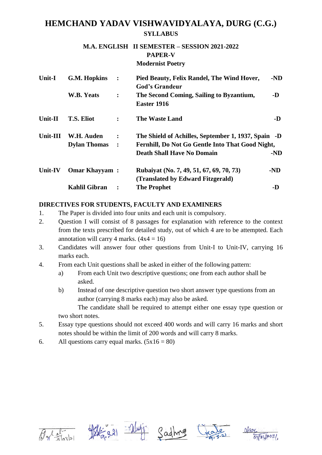### **M.A. ENGLISH II SEMESTER – SESSION 2021-2022 PAPER-V Modernist Poetry**

| Unit-I   | <b>G.M. Hopkins</b>  | $\ddot{\cdot}$ | Pied Beauty, Felix Randel, The Wind Hover,                                       | $-ND$ |
|----------|----------------------|----------------|----------------------------------------------------------------------------------|-------|
|          | W.B. Yeats           | $\ddot{\cdot}$ | <b>God's Grandeur</b><br>The Second Coming, Sailing to Byzantium,<br>Easter 1916 | -D    |
| Unit-II  | <b>T.S. Eliot</b>    | $\ddot{\cdot}$ | <b>The Waste Land</b>                                                            | -D    |
| Unit-III | W.H. Auden           | $\ddot{\cdot}$ | The Shield of Achilles, September 1, 1937, Spain -D                              |       |
|          | <b>Dylan Thomas</b>  | $\ddot{\cdot}$ | Fernhill, Do Not Go Gentle Into That Good Night,                                 |       |
|          |                      |                | <b>Death Shall Have No Domain</b>                                                | $-ND$ |
| Unit-IV  | <b>Omar Khayyam:</b> |                | Rubaiyat (No. 7, 49, 51, 67, 69, 70, 73)<br>(Translated by Edward Fitzgerald)    | $-ND$ |
|          | <b>Kahlil Gibran</b> |                | <b>The Prophet</b>                                                               | -D    |

### **DIRECTIVES FOR STUDENTS, FACULTY AND EXAMINERS**

- 1. The Paper is divided into four units and each unit is compulsory.
- 2. Question I will consist of 8 passages for explanation with reference to the context from the texts prescribed for detailed study, out of which 4 are to be attempted. Each annotation will carry 4 marks.  $(4x4 = 16)$
- 3. Candidates will answer four other questions from Unit-I to Unit-IV, carrying 16 marks each.
- 4. From each Unit questions shall be asked in either of the following pattern:
	- a) From each Unit two descriptive questions; one from each author shall be asked.
	- b) Instead of one descriptive question two short answer type questions from an author (carrying 8 marks each) may also be asked.

The candidate shall be required to attempt either one essay type question or two short notes.

- 5. Essay type questions should not exceed 400 words and will carry 16 marks and short notes should be within the limit of 200 words and will carry 8 marks.
- 6. All questions carry equal marks.  $(5x16 = 80)$









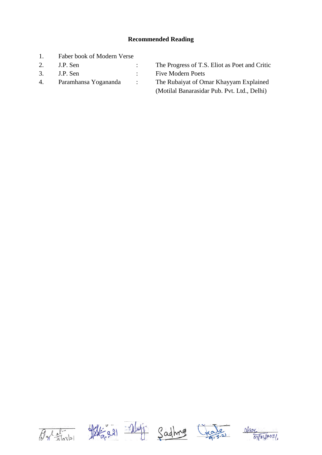- 1. Faber book of Modern Verse
- 
- 
- 

2. J.P. Sen : The Progress of T.S. Eliot as Poet and Critic 3. J.P. Sen : Five Modern Poets 4. Paramhansa Yogananda : The Rubaiyat of Omar Khayyam Explained (Motilal Banarasidar Pub. Pvt. Ltd., Delhi)









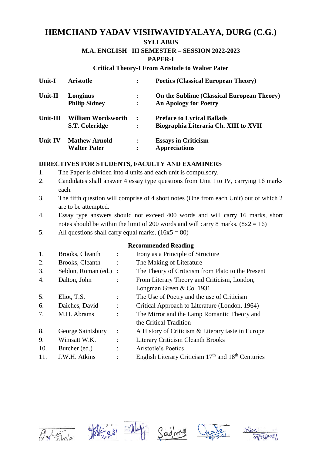#### **SYLLABUS**

## **M.A. ENGLISH III SEMESTER – SESSION 2022-2023**

#### **PAPER-I**

#### **Critical Theory-I From Aristotle to Walter Pater**

| Unit-I         | <b>Aristotle</b>          | ፡              | <b>Poetics (Classical European Theory)</b> |
|----------------|---------------------------|----------------|--------------------------------------------|
| Unit-II        | Longinus                  | ፡              | On the Sublime (Classical European Theory) |
|                | <b>Philip Sidney</b>      | $\ddot{\cdot}$ | <b>An Apology for Poetry</b>               |
| Unit-III       | <b>William Wordsworth</b> | $\cdot$ :      | <b>Preface to Lyrical Ballads</b>          |
|                | S.T. Coleridge            | ፡              | Biographia Literaria Ch. XIII to XVII      |
| <b>Unit-IV</b> | <b>Mathew Arnold</b>      | $\ddot{\cdot}$ | <b>Essays in Criticism</b>                 |
|                | <b>Walter Pater</b>       | ٠              | <b>Appreciations</b>                       |

### **DIRECTIVES FOR STUDENTS, FACULTY AND EXAMINERS**

- 1. The Paper is divided into 4 units and each unit is compulsory.
- 2. Candidates shall answer 4 essay type questions from Unit I to IV, carrying 16 marks each.
- 3. The fifth question will comprise of 4 short notes (One from each Unit) out of which 2 are to be attempted.
- 4. Essay type answers should not exceed 400 words and will carry 16 marks, short notes should be within the limit of 200 words and will carry 8 marks.  $(8x2 = 16)$
- 5. All questions shall carry equal marks.  $(16x5 = 80)$

| 1.  | Brooks, Cleanth       |                | Irony as a Principle of Structure                      |
|-----|-----------------------|----------------|--------------------------------------------------------|
| 2.  | Brooks, Cleanth       |                | The Making of Literature                               |
| 3.  | Seldon, Roman (ed.) : |                | The Theory of Criticism from Plato to the Present      |
| 4.  | Dalton, John          |                | From Literary Theory and Criticism, London,            |
|     |                       |                | Longman Green & Co. 1931                               |
| 5.  | Eliot, T.S.           |                | The Use of Poetry and the use of Criticism             |
| 6.  | Daiches, David        | $\ddot{\cdot}$ | Critical Approach to Literature (London, 1964)         |
| 7.  | M.H. Abrams           |                | The Mirror and the Lamp Romantic Theory and            |
|     |                       |                | the Critical Tradition                                 |
| 8.  | George Saintsbury     |                | A History of Criticism & Literary taste in Europe      |
| 9.  | Wimsatt W.K.          |                | <b>Literary Criticism Cleanth Brooks</b>               |
| 10. | Butcher (ed.)         |                | Aristotle's Poetics                                    |
| 11. | J.W.H. Atkins         |                | English Literary Criticism $17th$ and $18th$ Centuries |





Sadhro



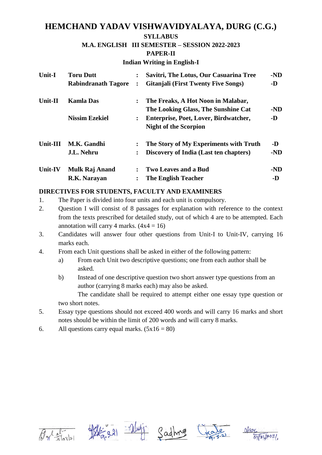#### **SYLLABUS**

### **M.A. ENGLISH III SEMESTER – SESSION 2022-2023**

#### **PAPER-II**

#### **Indian Writing in English-I**

| Unit-I         | <b>Toru Dutt</b>           |                | Savitri, The Lotus, Our Casuarina Tree     | $-ND$ |
|----------------|----------------------------|----------------|--------------------------------------------|-------|
|                | <b>Rabindranath Tagore</b> |                | <b>Gitanjali (First Twenty Five Songs)</b> | -D    |
| <b>Unit-II</b> | <b>Kamla Das</b>           | $\ddot{\cdot}$ | The Freaks, A Hot Noon in Malabar,         |       |
|                |                            |                | The Looking Glass, The Sunshine Cat        | -ND   |
|                | <b>Nissim Ezekiel</b>      | $\ddot{\cdot}$ | Enterprise, Poet, Lover, Birdwatcher,      | -D    |
|                |                            |                | <b>Night of the Scorpion</b>               |       |
| Unit-III       | M.K. Gandhi                | $\ddot{\cdot}$ | The Story of My Experiments with Truth     | $-D$  |
|                | J.L. Nehru                 | :              | Discovery of India (Last ten chapters)     | $-ND$ |
| Unit-IV        | <b>Mulk Raj Anand</b>      |                | <b>Two Leaves and a Bud</b>                | $-ND$ |
|                | R.K. Narayan               |                | <b>The English Teacher</b>                 | -D    |

### **DIRECTIVES FOR STUDENTS, FACULTY AND EXAMINERS**

- 1. The Paper is divided into four units and each unit is compulsory.
- 2. Question I will consist of 8 passages for explanation with reference to the context from the texts prescribed for detailed study, out of which 4 are to be attempted. Each annotation will carry 4 marks.  $(4x4 = 16)$
- 3. Candidates will answer four other questions from Unit-I to Unit-IV, carrying 16 marks each.
- 4. From each Unit questions shall be asked in either of the following pattern:
	- a) From each Unit two descriptive questions; one from each author shall be asked.
	- b) Instead of one descriptive question two short answer type questions from an author (carrying 8 marks each) may also be asked.

The candidate shall be required to attempt either one essay type question or two short notes.

- 5. Essay type questions should not exceed 400 words and will carry 16 marks and short notes should be within the limit of 200 words and will carry 8 marks.
- 6. All questions carry equal marks.  $(5x16 = 80)$









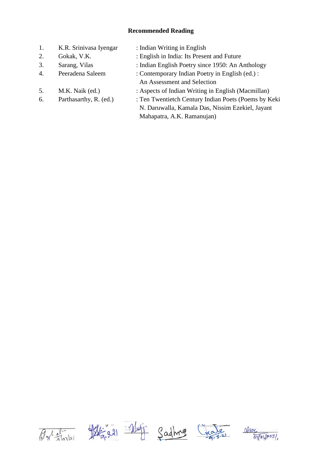| 1. | K.R. Srinivasa Iyengar | : Indian Writing in English                          |
|----|------------------------|------------------------------------------------------|
| 2. | Gokak, V.K.            | : English in India: Its Present and Future           |
| 3. | Sarang, Vilas          | : Indian English Poetry since 1950: An Anthology     |
| 4. | Peeradena Saleem       | : Contemporary Indian Poetry in English (ed.) :      |
|    |                        | An Assessment and Selection                          |
| 5. | M.K. Naik (ed.)        | : Aspects of Indian Writing in English (Macmillan)   |
| 6. | Parthasarthy, R. (ed.) | : Ten Twentietch Century Indian Poets (Poems by Keki |
|    |                        | N. Daruwalla, Kamala Das, Nissim Ezekiel, Jayant     |

Mahapatra, A.K. Ramanujan)







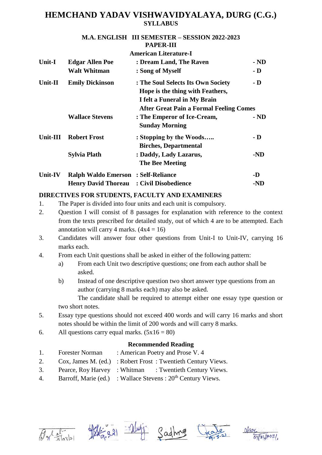#### **M.A. ENGLISH III SEMESTER – SESSION 2022-2023 PAPER-III**

|         |                                            | <b>American Literature-I</b>                                                                                                                                                        |                |  |
|---------|--------------------------------------------|-------------------------------------------------------------------------------------------------------------------------------------------------------------------------------------|----------------|--|
| Unit-I  | <b>Edgar Allen Poe</b>                     | : Dream Land, The Raven                                                                                                                                                             | $-ND$          |  |
|         | <b>Walt Whitman</b>                        | : Song of Myself                                                                                                                                                                    | $\mathbf{-}$ D |  |
| Unit-II | <b>Emily Dickinson</b>                     | $\mathbf{-} \mathbf{D}$<br>: The Soul Selects Its Own Society<br>Hope is the thing with Feathers,<br>I felt a Funeral in My Brain<br><b>After Great Pain a Formal Feeling Comes</b> |                |  |
|         | <b>Wallace Stevens</b>                     | : The Emperor of Ice-Cream,<br><b>Sunday Morning</b>                                                                                                                                | $-ND$          |  |
|         | Unit-III Robert Frost                      | : Stopping by the Woods<br><b>Birches, Departmental</b>                                                                                                                             | - D            |  |
|         | <b>Sylvia Plath</b>                        | : Daddy, Lady Lazarus,<br><b>The Bee Meeting</b>                                                                                                                                    | -ND            |  |
| Unit-IV | <b>Ralph Waldo Emerson : Self-Reliance</b> |                                                                                                                                                                                     | -D             |  |
|         | <b>Henry David Thoreau</b>                 | : Civil Disobedience                                                                                                                                                                | -ND            |  |

### **DIRECTIVES FOR STUDENTS, FACULTY AND EXAMINERS**

- 1. The Paper is divided into four units and each unit is compulsory.
- 2. Question I will consist of 8 passages for explanation with reference to the context from the texts prescribed for detailed study, out of which 4 are to be attempted. Each annotation will carry 4 marks.  $(4x4 = 16)$
- 3. Candidates will answer four other questions from Unit-I to Unit-IV, carrying 16 marks each.
- 4. From each Unit questions shall be asked in either of the following pattern:
	- a) From each Unit two descriptive questions; one from each author shall be asked.
	- b) Instead of one descriptive question two short answer type questions from an author (carrying 8 marks each) may also be asked. The candidate shall be required to attempt either one essay type question or two short notes.

5. Essay type questions should not exceed 400 words and will carry 16 marks and short notes should be within the limit of 200 words and will carry 8 marks.

# 6. All questions carry equal marks.  $(5x16 = 80)$

- 1. Forester Norman : American Poetry and Prose V. 4
- 2. Cox, James M. (ed.) : Robert Frost : Twentieth Century Views.
- 3. Pearce, Roy Harvey : Whitman : Twentieth Century Views.
- 4. Barroff, Marie (ed.) : Wallace Stevens :  $20<sup>th</sup>$  Century Views.









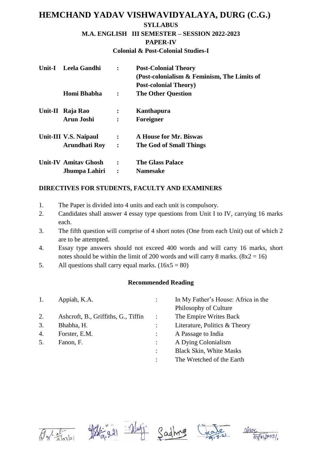#### **SYLLABUS**

#### **M.A. ENGLISH III SEMESTER – SESSION 2022-2023**

#### **PAPER-IV**

**Colonial & Post-Colonial Studies-I**

| Unit-I | Leela Gandhi                |                | <b>Post-Colonial Theory</b>                                                  |
|--------|-----------------------------|----------------|------------------------------------------------------------------------------|
|        |                             |                | (Post-colonialism & Feminism, The Limits of<br><b>Post-colonial Theory</b> ) |
|        | Homi Bhabha                 | $\ddot{\cdot}$ | <b>The Other Question</b>                                                    |
|        | Unit-II Raja Rao            | $\ddot{\cdot}$ | Kanthapura                                                                   |
|        | <b>Arun Joshi</b>           | $\ddot{\cdot}$ | Foreigner                                                                    |
|        | Unit-III V.S. Naipaul       | $\ddot{\cdot}$ | A House for Mr. Biswas                                                       |
|        | Arundhati Roy               | $\ddot{\cdot}$ | The God of Small Things                                                      |
|        | <b>Unit-IV Amitav Ghosh</b> | $\ddot{\cdot}$ | <b>The Glass Palace</b>                                                      |
|        | Jhumpa Lahiri               | $\ddot{\cdot}$ | <b>Namesake</b>                                                              |

### **DIRECTIVES FOR STUDENTS, FACULTY AND EXAMINERS**

- 1. The Paper is divided into 4 units and each unit is compulsory.
- 2. Candidates shall answer 4 essay type questions from Unit I to IV, carrying 16 marks each.
- 3. The fifth question will comprise of 4 short notes (One from each Unit) out of which 2 are to be attempted.
- 4. Essay type answers should not exceed 400 words and will carry 16 marks, short notes should be within the limit of 200 words and will carry 8 marks.  $(8x2 = 16)$
- 5. All questions shall carry equal marks.  $(16x5 = 80)$

| 1.               | Appiah, K.A.                        |                | In My Father's House: Africa in the |
|------------------|-------------------------------------|----------------|-------------------------------------|
|                  |                                     |                | Philosophy of Culture               |
| 2.               | Ashcroft, B., Griffiths, G., Tiffin | $\ddot{\cdot}$ | The Empire Writes Back              |
| 3.               | Bhabha, H.                          |                | Literature, Politics & Theory       |
| $\overline{4}$ . | Forster, E.M.                       |                | A Passage to India                  |
| 5.               | Fanon, F.                           |                | A Dying Colonialism                 |
|                  |                                     | $\ddot{\cdot}$ | <b>Black Skin, White Masks</b>      |
|                  |                                     | ٠              | The Wretched of the Earth           |





Sadh



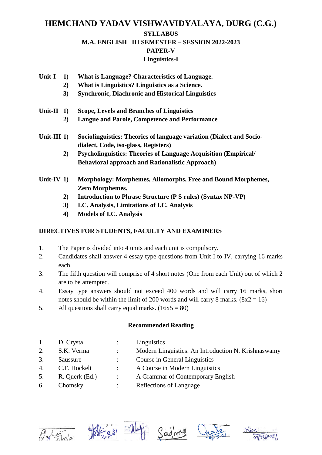# **HEMCHAND YADAV VISHWAVIDYALAYA, DURG (C.G.) SYLLABUS M.A. ENGLISH III SEMESTER – SESSION 2022-2023 PAPER-V**

## **Linguistics-I**

- **Unit-I 1) What is Language? Characteristics of Language.**
	- **2) What is Linguistics? Linguistics as a Science.**
	- **3) Synchronic, Diachronic and Historical Linguistics**
- **Unit-II 1) Scope, Levels and Branches of Linguistics**
	- **2) Langue and Parole, Competence and Performance**
- **Unit-III 1) Sociolinguistics: Theories of language variation (Dialect and Sociodialect, Code, iso-glass, Registers)**
	- **2) Psycholinguistics: Theories of Language Acquisition (Empirical/ Behavioral approach and Rationalistic Approach)**
- **Unit-IV 1) Morphology: Morphemes, Allomorphs, Free and Bound Morphemes, Zero Morphemes.**
	- **2) Introduction to Phrase Structure (P S rules) (Syntax NP-VP)**
	- **3) I.C. Analysis, Limitations of I.C. Analysis**
	- **4) Models of I.C. Analysis**

### **DIRECTIVES FOR STUDENTS, FACULTY AND EXAMINERS**

- 1. The Paper is divided into 4 units and each unit is compulsory.
- 2. Candidates shall answer 4 essay type questions from Unit I to IV, carrying 16 marks each.
- 3. The fifth question will comprise of 4 short notes (One from each Unit) out of which 2 are to be attempted.
- 4. Essay type answers should not exceed 400 words and will carry 16 marks, short notes should be within the limit of 200 words and will carry 8 marks.  $(8x2 = 16)$
- 5. All questions shall carry equal marks.  $(16x5 = 80)$

| 1. | D. Crystal     |                      | Linguistics                                         |
|----|----------------|----------------------|-----------------------------------------------------|
| 2. | S.K. Verma     | $\ddot{\phantom{a}}$ | Modern Linguistics: An Introduction N. Krishnaswamy |
| 3. | Saussure       |                      | Course in General Linguistics                       |
| 4. | C.F. Hockelt   | $\ddot{\phantom{0}}$ | A Course in Modern Linguistics                      |
| 5. | R. Querk (Ed.) | $\ddot{\phantom{a}}$ | A Grammar of Contemporary English                   |
| 6. | Chomsky        |                      | Reflections of Language                             |
|    |                |                      |                                                     |









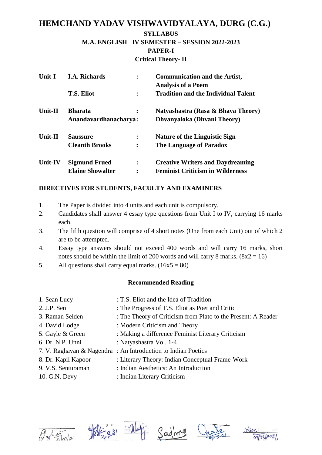**M.A. ENGLISH IV SEMESTER – SESSION 2022-2023 PAPER-I Critical Theory- II**

| <b>Unit-I</b>  | <b>I.A. Richards</b>    | $\ddot{\cdot}$ | <b>Communication and the Artist,</b><br><b>Analysis of a Poem</b> |
|----------------|-------------------------|----------------|-------------------------------------------------------------------|
|                | <b>T.S. Eliot</b>       | $\ddot{\cdot}$ | <b>Tradition and the Individual Talent</b>                        |
| Unit-II        | <b>Bharata</b>          | $\ddot{\cdot}$ | Natyashastra (Rasa & Bhava Theory)                                |
|                | Anandavardhanacharya:   |                | Dhvanyaloka (Dhvani Theory)                                       |
| <b>Unit-II</b> | <b>Saussure</b>         | ፡              | <b>Nature of the Linguistic Sign</b>                              |
|                | <b>Cleanth Brooks</b>   |                | The Language of Paradox                                           |
| <b>Unit-IV</b> | <b>Sigmund Frued</b>    | $\ddot{\cdot}$ | <b>Creative Writers and Daydreaming</b>                           |
|                | <b>Elaine Showalter</b> | ፡              | <b>Feminist Criticism in Wilderness</b>                           |

### **DIRECTIVES FOR STUDENTS, FACULTY AND EXAMINERS**

- 1. The Paper is divided into 4 units and each unit is compulsory.
- 2. Candidates shall answer 4 essay type questions from Unit I to IV, carrying 16 marks each.
- 3. The fifth question will comprise of 4 short notes (One from each Unit) out of which 2 are to be attempted.
- 4. Essay type answers should not exceed 400 words and will carry 16 marks, short notes should be within the limit of 200 words and will carry 8 marks.  $(8x2 = 16)$
- 5. All questions shall carry equal marks.  $(16x5 = 80)$

### **Recommended Reading**

1. Sean Lucy : T.S. Eliot and the Idea of Tradition 2. J.P. Sen : The Progress of T.S. Eliot as Poet and Critic 3. Raman Selden : The Theory of Criticism from Plato to the Present: A Reader 4. David Lodge : Modern Criticism and Theory 5. Gayle & Green : Making a difference Feminist Literary Criticism 6. Dr. N.P. Unni : Natyashastra Vol. 1-4 7. V. Raghavan & Nagendra : An Introduction to Indian Poetics 8. Dr. Kapil Kapoor : Literary Theory: Indian Conceptual Frame-Work 9. V.S. Senturaman : Indian Aesthetics: An Introduction 10. G.N. Devy : Indian Literary Criticism







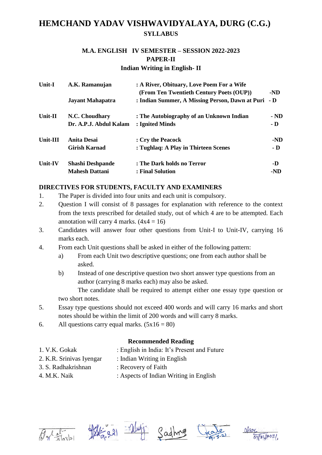### **M.A. ENGLISH IV SEMESTER – SESSION 2022-2023 PAPER-II Indian Writing in English- II**

| Unit-I            | A.K. Ramanujan<br><b>Jayant Mahapatra</b> | : A River, Obituary, Love Poem For a Wife<br>(From Ten Twentieth Century Poets (OUP))<br>: Indian Summer, A Missing Person, Dawn at Puri | -ND<br>$-D$ |
|-------------------|-------------------------------------------|------------------------------------------------------------------------------------------------------------------------------------------|-------------|
| Unit- $\mathbf H$ | N.C. Choudhary                            | : The Autobiography of an Unknown Indian                                                                                                 | $-ND$       |
|                   | Dr. A.P.J. Abdul Kalam                    | : Ignited Minds                                                                                                                          | - D         |
| Unit-III          | Anita Desai                               | : Cry the Peacock                                                                                                                        | -ND         |
|                   | <b>Girish Karnad</b>                      | : Tughlaq: A Play in Thirteen Scenes                                                                                                     | - D         |
| Unit-IV           | <b>Shashi Deshpande</b>                   | : The Dark holds no Terror                                                                                                               | -D          |
|                   | <b>Mahesh Dattani</b>                     | : Final Solution                                                                                                                         | -ND         |

### **DIRECTIVES FOR STUDENTS, FACULTY AND EXAMINERS**

- 1. The Paper is divided into four units and each unit is compulsory.
- 2. Question I will consist of 8 passages for explanation with reference to the context from the texts prescribed for detailed study, out of which 4 are to be attempted. Each annotation will carry 4 marks.  $(4x4 = 16)$
- 3. Candidates will answer four other questions from Unit-I to Unit-IV, carrying 16 marks each.
- 4. From each Unit questions shall be asked in either of the following pattern:
	- a) From each Unit two descriptive questions; one from each author shall be asked.
	- b) Instead of one descriptive question two short answer type questions from an author (carrying 8 marks each) may also be asked.

The candidate shall be required to attempt either one essay type question or two short notes.

- 5. Essay type questions should not exceed 400 words and will carry 16 marks and short notes should be within the limit of 200 words and will carry 8 marks.
- 6. All questions carry equal marks.  $(5x16 = 80)$

- 1. V.K. Gokak : English in India: It's Present and Future
- 2. K.R. Srinivas Iyengar : Indian Writing in English
- 
- 3. S. Radhakrishnan : Recovery of Faith
- 
- 4. M.K. Naik : Aspects of Indian Writing in English









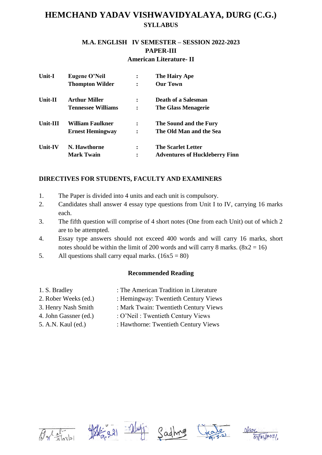### **M.A. ENGLISH IV SEMESTER – SESSION 2022-2023 PAPER-III American Literature- II**

| <b>Unit-I</b>  | Eugene O'Neil<br><b>Thompton Wilder</b> | ٠<br>$\bullet$         | The Hairy Ape<br><b>Our Town</b>      |
|----------------|-----------------------------------------|------------------------|---------------------------------------|
| Unit-II        | <b>Arthur Miller</b>                    | $\bullet$<br>$\bullet$ | Death of a Salesman                   |
|                | <b>Tennessee Williams</b>               | $\ddot{\cdot}$         | The Glass Menagerie                   |
| Unit-III       | William Faulkner                        | ٠<br>$\bullet$         | The Sound and the Fury                |
|                | <b>Ernest Hemingway</b>                 |                        | The Old Man and the Sea               |
| <b>Unit-IV</b> | N. Hawthorne                            | ٠<br>٠                 | <b>The Scarlet Letter</b>             |
|                | <b>Mark Twain</b>                       |                        | <b>Adventures of Huckleberry Finn</b> |

## **DIRECTIVES FOR STUDENTS, FACULTY AND EXAMINERS**

- 1. The Paper is divided into 4 units and each unit is compulsory.
- 2. Candidates shall answer 4 essay type questions from Unit I to IV, carrying 16 marks each.
- 3. The fifth question will comprise of 4 short notes (One from each Unit) out of which 2 are to be attempted.
- 4. Essay type answers should not exceed 400 words and will carry 16 marks, short notes should be within the limit of 200 words and will carry 8 marks.  $(8x2 = 16)$
- 5. All questions shall carry equal marks.  $(16x5 = 80)$

- 
- 1. S. Bradley : The American Tradition in Literature
- 2. Rober Weeks (ed.) : Hemingway: Twentieth Century Views
- 3. Henry Nash Smith : Mark Twain: Twentieth Century Views
- 
- 4. John Gassner (ed.) : O'Neil: Twentieth Century Views
- 
- 5. A.N. Kaul (ed.) : Hawthorne: Twentieth Century Views









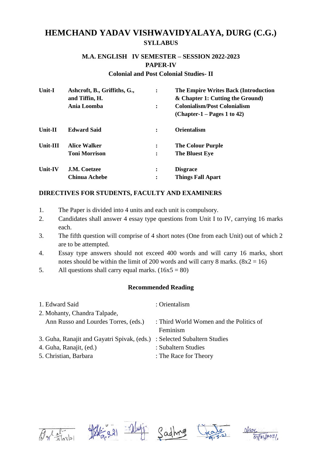### **M.A. ENGLISH IV SEMESTER – SESSION 2022-2023 PAPER-IV**

#### **Colonial and Post Colonial Studies- II**

| <b>Unit-I</b>  | Ashcroft, B., Griffiths, G.,<br>and Tiffin, H. | $\ddot{\cdot}$ | The Empire Writes Back (Introduction<br>& Chapter 1: Cutting the Ground) |
|----------------|------------------------------------------------|----------------|--------------------------------------------------------------------------|
|                | Ania Loomba                                    | $\ddot{\cdot}$ | <b>Colonialism/Post Colonialism</b>                                      |
|                |                                                |                | $(Chapter-1 - Pages 1 to 42)$                                            |
| Unit-II        | <b>Edward Said</b>                             | :              | <b>Orientalism</b>                                                       |
| Unit-III       | <b>Alice Walker</b>                            | $\ddot{\cdot}$ | <b>The Colour Purple</b>                                                 |
|                | <b>Toni Morrison</b>                           | $\ddot{\cdot}$ | <b>The Bluest Eye</b>                                                    |
| <b>Unit-IV</b> | <b>J.M. Coetzee</b>                            | $\ddot{\cdot}$ | <b>Disgrace</b>                                                          |
|                | Chinua Achebe                                  | $\ddot{\cdot}$ | <b>Things Fall Apart</b>                                                 |

### **DIRECTIVES FOR STUDENTS, FACULTY AND EXAMINERS**

- 1. The Paper is divided into 4 units and each unit is compulsory.
- 2. Candidates shall answer 4 essay type questions from Unit I to IV, carrying 16 marks each.
- 3. The fifth question will comprise of 4 short notes (One from each Unit) out of which 2 are to be attempted.
- 4. Essay type answers should not exceed 400 words and will carry 16 marks, short notes should be within the limit of 200 words and will carry 8 marks.  $(8x2 = 16)$
- 5. All questions shall carry equal marks.  $(16x5 = 80)$

| 1. Edward Said                              | : Orientalism                           |
|---------------------------------------------|-----------------------------------------|
| 2. Mohanty, Chandra Talpade,                |                                         |
| Ann Russo and Lourdes Torres, (eds.)        | : Third World Women and the Politics of |
|                                             | Feminism                                |
| 3. Guha, Ranajit and Gayatri Spivak, (eds.) | : Selected Subaltern Studies            |
| 4. Guha, Ranajit, (ed.)                     | : Subaltern Studies                     |
| 5. Christian, Barbara                       | : The Race for Theory                   |